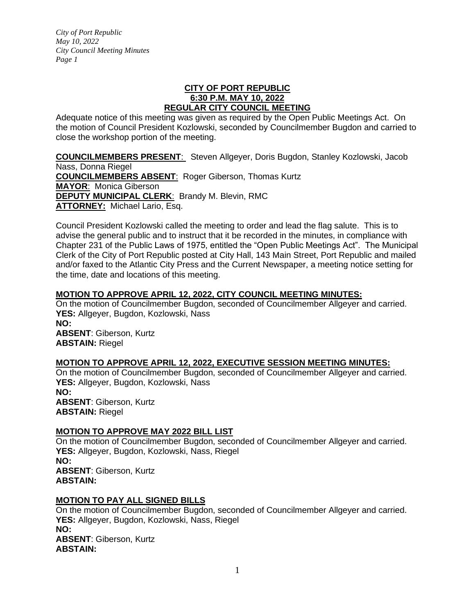### **CITY OF PORT REPUBLIC 6:30 P.M. MAY 10, 2022 REGULAR CITY COUNCIL MEETING**

Adequate notice of this meeting was given as required by the Open Public Meetings Act. On the motion of Council President Kozlowski, seconded by Councilmember Bugdon and carried to close the workshop portion of the meeting.

**COUNCILMEMBERS PRESENT**: Steven Allgeyer, Doris Bugdon, Stanley Kozlowski, Jacob Nass, Donna Riegel **COUNCILMEMBERS ABSENT**: Roger Giberson, Thomas Kurtz **MAYOR**: Monica Giberson **DEPUTY MUNICIPAL CLERK**: Brandy M. Blevin, RMC **ATTORNEY:** Michael Lario, Esq.

Council President Kozlowski called the meeting to order and lead the flag salute. This is to advise the general public and to instruct that it be recorded in the minutes, in compliance with Chapter 231 of the Public Laws of 1975, entitled the "Open Public Meetings Act". The Municipal Clerk of the City of Port Republic posted at City Hall, 143 Main Street, Port Republic and mailed and/or faxed to the Atlantic City Press and the Current Newspaper, a meeting notice setting for the time, date and locations of this meeting.

# **MOTION TO APPROVE APRIL 12, 2022, CITY COUNCIL MEETING MINUTES:**

On the motion of Councilmember Bugdon, seconded of Councilmember Allgeyer and carried. **YES:** Allgeyer, Bugdon, Kozlowski, Nass **NO: ABSENT**: Giberson, Kurtz **ABSTAIN:** Riegel

### **MOTION TO APPROVE APRIL 12, 2022, EXECUTIVE SESSION MEETING MINUTES:**

On the motion of Councilmember Bugdon, seconded of Councilmember Allgeyer and carried. **YES:** Allgeyer, Bugdon, Kozlowski, Nass **NO: ABSENT**: Giberson, Kurtz **ABSTAIN:** Riegel

#### **MOTION TO APPROVE MAY 2022 BILL LIST**

On the motion of Councilmember Bugdon, seconded of Councilmember Allgeyer and carried. **YES:** Allgeyer, Bugdon, Kozlowski, Nass, Riegel **NO: ABSENT**: Giberson, Kurtz **ABSTAIN:**

### **MOTION TO PAY ALL SIGNED BILLS**

On the motion of Councilmember Bugdon, seconded of Councilmember Allgeyer and carried. **YES:** Allgeyer, Bugdon, Kozlowski, Nass, Riegel **NO: ABSENT**: Giberson, Kurtz **ABSTAIN:**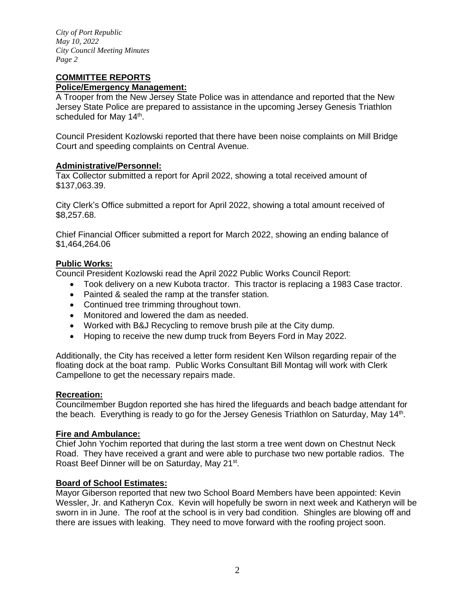#### **COMMITTEE REPORTS Police/Emergency Management:**

A Trooper from the New Jersey State Police was in attendance and reported that the New Jersey State Police are prepared to assistance in the upcoming Jersey Genesis Triathlon scheduled for May 14<sup>th</sup>.

Council President Kozlowski reported that there have been noise complaints on Mill Bridge Court and speeding complaints on Central Avenue.

#### **Administrative/Personnel:**

Tax Collector submitted a report for April 2022, showing a total received amount of \$137,063.39.

City Clerk's Office submitted a report for April 2022, showing a total amount received of \$8,257.68.

Chief Financial Officer submitted a report for March 2022, showing an ending balance of \$1,464,264.06

### **Public Works:**

Council President Kozlowski read the April 2022 Public Works Council Report:

- Took delivery on a new Kubota tractor. This tractor is replacing a 1983 Case tractor.
- Painted & sealed the ramp at the transfer station.
- Continued tree trimming throughout town.
- Monitored and lowered the dam as needed.
- Worked with B&J Recycling to remove brush pile at the City dump.
- Hoping to receive the new dump truck from Beyers Ford in May 2022.

Additionally, the City has received a letter form resident Ken Wilson regarding repair of the floating dock at the boat ramp. Public Works Consultant Bill Montag will work with Clerk Campellone to get the necessary repairs made.

#### **Recreation:**

Councilmember Bugdon reported she has hired the lifeguards and beach badge attendant for the beach. Everything is ready to go for the Jersey Genesis Triathlon on Saturday, May 14<sup>th</sup>.

#### **Fire and Ambulance:**

Chief John Yochim reported that during the last storm a tree went down on Chestnut Neck Road. They have received a grant and were able to purchase two new portable radios. The Roast Beef Dinner will be on Saturday, May 21<sup>st</sup>.

#### **Board of School Estimates:**

Mayor Giberson reported that new two School Board Members have been appointed: Kevin Wessler, Jr. and Katheryn Cox. Kevin will hopefully be sworn in next week and Katheryn will be sworn in in June. The roof at the school is in very bad condition. Shingles are blowing off and there are issues with leaking. They need to move forward with the roofing project soon.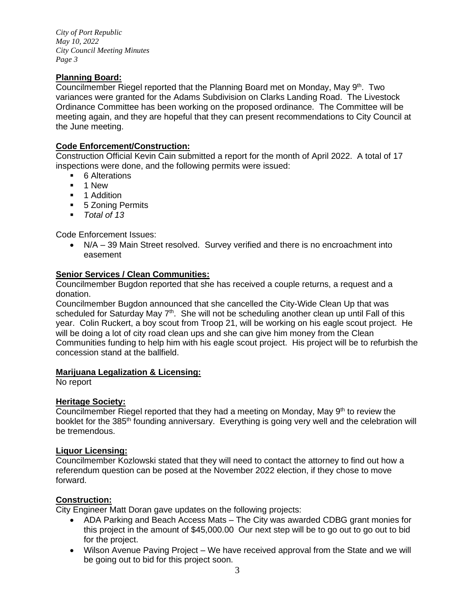# **Planning Board:**

Councilmember Riegel reported that the Planning Board met on Monday, May 9<sup>th</sup>. Two variances were granted for the Adams Subdivision on Clarks Landing Road. The Livestock Ordinance Committee has been working on the proposed ordinance. The Committee will be meeting again, and they are hopeful that they can present recommendations to City Council at the June meeting.

### **Code Enforcement/Construction:**

Construction Official Kevin Cain submitted a report for the month of April 2022. A total of 17 inspections were done, and the following permits were issued:

- 6 Alterations
- 1 New
- 1 Addition
- 5 Zoning Permits
- *Total of 13*

Code Enforcement Issues:

• N/A – 39 Main Street resolved. Survey verified and there is no encroachment into easement

## **Senior Services / Clean Communities:**

Councilmember Bugdon reported that she has received a couple returns, a request and a donation.

Councilmember Bugdon announced that she cancelled the City-Wide Clean Up that was scheduled for Saturday May 7<sup>th</sup>. She will not be scheduling another clean up until Fall of this year. Colin Ruckert, a boy scout from Troop 21, will be working on his eagle scout project. He will be doing a lot of city road clean ups and she can give him money from the Clean Communities funding to help him with his eagle scout project. His project will be to refurbish the concession stand at the ballfield.

### **Marijuana Legalization & Licensing:**

No report

### **Heritage Society:**

Councilmember Riegel reported that they had a meeting on Monday, May  $9<sup>th</sup>$  to review the booklet for the 385<sup>th</sup> founding anniversary. Everything is going very well and the celebration will be tremendous.

### **Liquor Licensing:**

Councilmember Kozlowski stated that they will need to contact the attorney to find out how a referendum question can be posed at the November 2022 election, if they chose to move forward.

### **Construction:**

City Engineer Matt Doran gave updates on the following projects:

- ADA Parking and Beach Access Mats The City was awarded CDBG grant monies for this project in the amount of \$45,000.00 Our next step will be to go out to go out to bid for the project.
- Wilson Avenue Paving Project We have received approval from the State and we will be going out to bid for this project soon.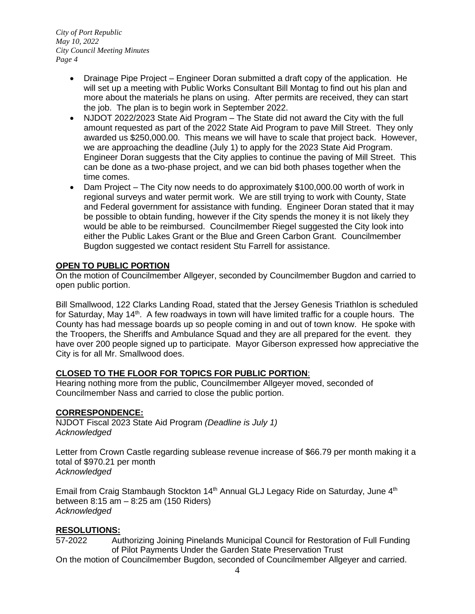- Drainage Pipe Project Engineer Doran submitted a draft copy of the application. He will set up a meeting with Public Works Consultant Bill Montag to find out his plan and more about the materials he plans on using. After permits are received, they can start the job. The plan is to begin work in September 2022.
- NJDOT 2022/2023 State Aid Program The State did not award the City with the full amount requested as part of the 2022 State Aid Program to pave Mill Street. They only awarded us \$250,000.00. This means we will have to scale that project back. However, we are approaching the deadline (July 1) to apply for the 2023 State Aid Program. Engineer Doran suggests that the City applies to continue the paving of Mill Street. This can be done as a two-phase project, and we can bid both phases together when the time comes.
- Dam Project The City now needs to do approximately \$100,000.00 worth of work in regional surveys and water permit work. We are still trying to work with County, State and Federal government for assistance with funding. Engineer Doran stated that it may be possible to obtain funding, however if the City spends the money it is not likely they would be able to be reimbursed. Councilmember Riegel suggested the City look into either the Public Lakes Grant or the Blue and Green Carbon Grant. Councilmember Bugdon suggested we contact resident Stu Farrell for assistance.

# **OPEN TO PUBLIC PORTION**

On the motion of Councilmember Allgeyer, seconded by Councilmember Bugdon and carried to open public portion.

Bill Smallwood, 122 Clarks Landing Road, stated that the Jersey Genesis Triathlon is scheduled for Saturday, May  $14<sup>th</sup>$ . A few roadways in town will have limited traffic for a couple hours. The County has had message boards up so people coming in and out of town know. He spoke with the Troopers, the Sheriffs and Ambulance Squad and they are all prepared for the event. they have over 200 people signed up to participate. Mayor Giberson expressed how appreciative the City is for all Mr. Smallwood does.

### **CLOSED TO THE FLOOR FOR TOPICS FOR PUBLIC PORTION**:

Hearing nothing more from the public, Councilmember Allgeyer moved, seconded of Councilmember Nass and carried to close the public portion.

### **CORRESPONDENCE:**

NJDOT Fiscal 2023 State Aid Program *(Deadline is July 1) Acknowledged* 

Letter from Crown Castle regarding sublease revenue increase of \$66.79 per month making it a total of \$970.21 per month *Acknowledged* 

Email from Craig Stambaugh Stockton 14<sup>th</sup> Annual GLJ Legacy Ride on Saturday, June 4<sup>th</sup> between 8:15 am – 8:25 am (150 Riders) *Acknowledged* 

### **RESOLUTIONS:**

57-2022 Authorizing Joining Pinelands Municipal Council for Restoration of Full Funding of Pilot Payments Under the Garden State Preservation Trust

On the motion of Councilmember Bugdon, seconded of Councilmember Allgeyer and carried.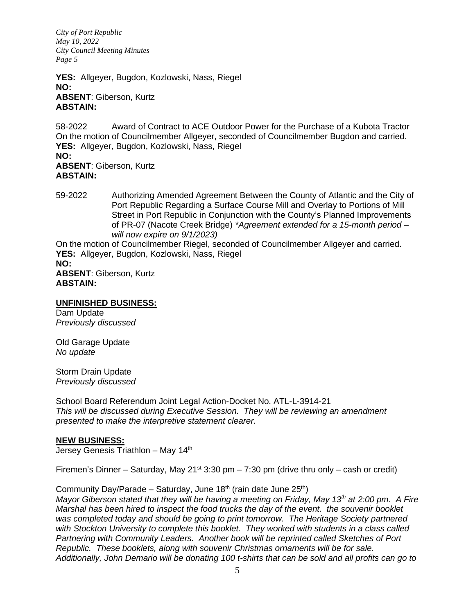**YES:** Allgeyer, Bugdon, Kozlowski, Nass, Riegel **NO: ABSENT**: Giberson, Kurtz **ABSTAIN:** 

58-2022 Award of Contract to ACE Outdoor Power for the Purchase of a Kubota Tractor On the motion of Councilmember Allgeyer, seconded of Councilmember Bugdon and carried. **YES:** Allgeyer, Bugdon, Kozlowski, Nass, Riegel **NO: ABSENT**: Giberson, Kurtz **ABSTAIN:** 

59-2022 Authorizing Amended Agreement Between the County of Atlantic and the City of Port Republic Regarding a Surface Course Mill and Overlay to Portions of Mill Street in Port Republic in Conjunction with the County's Planned Improvements of PR-07 (Nacote Creek Bridge) *\*Agreement extended for a 15-month period – will now expire on 9/1/2023)*

On the motion of Councilmember Riegel, seconded of Councilmember Allgeyer and carried. **YES:** Allgeyer, Bugdon, Kozlowski, Nass, Riegel

**NO:**

**ABSENT**: Giberson, Kurtz **ABSTAIN:** 

# **UNFINISHED BUSINESS:**

Dam Update *Previously discussed*

Old Garage Update *No update*

Storm Drain Update *Previously discussed* 

School Board Referendum Joint Legal Action-Docket No. ATL-L-3914-21 *This will be discussed during Executive Session. They will be reviewing an amendment presented to make the interpretive statement clearer.* 

### **NEW BUSINESS:**

Jersey Genesis Triathlon - May 14<sup>th</sup>

Firemen's Dinner – Saturday, May 21<sup>st</sup> 3:30 pm – 7:30 pm (drive thru only – cash or credit)

Community Day/Parade – Saturday, June 18<sup>th</sup> (rain date June  $25<sup>th</sup>$ )

*Mayor Giberson stated that they will be having a meeting on Friday, May 13th at 2:00 pm. A Fire Marshal has been hired to inspect the food trucks the day of the event. the souvenir booklet was completed today and should be going to print tomorrow. The Heritage Society partnered with Stockton University to complete this booklet. They worked with students in a class called Partnering with Community Leaders. Another book will be reprinted called Sketches of Port Republic. These booklets, along with souvenir Christmas ornaments will be for sale. Additionally, John Demario will be donating 100 t-shirts that can be sold and all profits can go to*